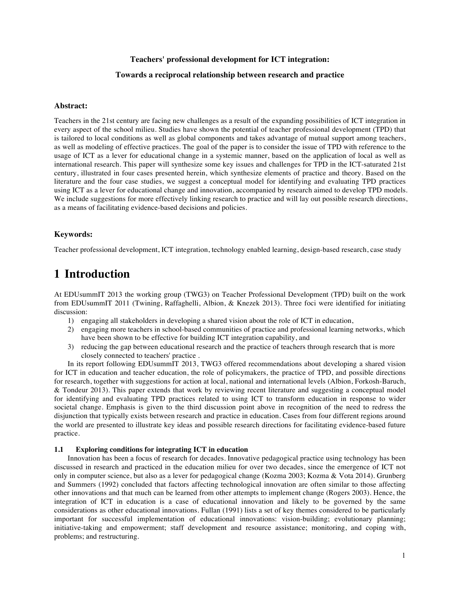## **Teachers' professional development for ICT integration:**

### **Towards a reciprocal relationship between research and practice**

### **Abstract:**

Teachers in the 21st century are facing new challenges as a result of the expanding possibilities of ICT integration in every aspect of the school milieu. Studies have shown the potential of teacher professional development (TPD) that is tailored to local conditions as well as global components and takes advantage of mutual support among teachers, as well as modeling of effective practices. The goal of the paper is to consider the issue of TPD with reference to the usage of ICT as a lever for educational change in a systemic manner, based on the application of local as well as international research. This paper will synthesize some key issues and challenges for TPD in the ICT-saturated 21st century, illustrated in four cases presented herein, which synthesize elements of practice and theory. Based on the literature and the four case studies, we suggest a conceptual model for identifying and evaluating TPD practices using ICT as a lever for educational change and innovation, accompanied by research aimed to develop TPD models. We include suggestions for more effectively linking research to practice and will lay out possible research directions, as a means of facilitating evidence-based decisions and policies.

### **Keywords:**

Teacher professional development, ICT integration, technology enabled learning, design-based research, case study

# **1 Introduction**

At EDUsummIT 2013 the working group (TWG3) on Teacher Professional Development (TPD) built on the work from EDUsummIT 2011 (Twining, Raffaghelli, Albion, & Knezek 2013). Three foci were identified for initiating discussion:

- 1) engaging all stakeholders in developing a shared vision about the role of ICT in education,
- 2) engaging more teachers in school-based communities of practice and professional learning networks, which have been shown to be effective for building ICT integration capability, and
- 3) reducing the gap between educational research and the practice of teachers through research that is more closely connected to teachers' practice .

In its report following EDUsummIT 2013, TWG3 offered recommendations about developing a shared vision for ICT in education and teacher education, the role of policymakers, the practice of TPD, and possible directions for research, together with suggestions for action at local, national and international levels (Albion, Forkosh-Baruch, & Tondeur 2013). This paper extends that work by reviewing recent literature and suggesting a conceptual model for identifying and evaluating TPD practices related to using ICT to transform education in response to wider societal change. Emphasis is given to the third discussion point above in recognition of the need to redress the disjunction that typically exists between research and practice in education. Cases from four different regions around the world are presented to illustrate key ideas and possible research directions for facilitating evidence-based future practice.

### **1.1 Exploring conditions for integrating ICT in education**

Innovation has been a focus of research for decades. Innovative pedagogical practice using technology has been discussed in research and practiced in the education milieu for over two decades, since the emergence of ICT not only in computer science, but also as a lever for pedagogical change (Kozma 2003; Kozma & Vota 2014). Grunberg and Summers (1992) concluded that factors affecting technological innovation are often similar to those affecting other innovations and that much can be learned from other attempts to implement change (Rogers 2003). Hence, the integration of ICT in education is a case of educational innovation and likely to be governed by the same considerations as other educational innovations. Fullan (1991) lists a set of key themes considered to be particularly important for successful implementation of educational innovations: vision-building; evolutionary planning; initiative-taking and empowerment; staff development and resource assistance; monitoring, and coping with, problems; and restructuring.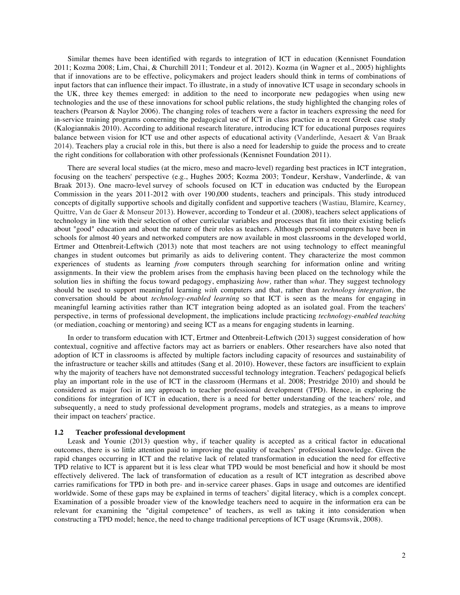Similar themes have been identified with regards to integration of ICT in education (Kennisnet Foundation 2011; Kozma 2008; Lim, Chai, & Churchill 2011; Tondeur et al. 2012). Kozma (in Wagner et al., 2005) highlights that if innovations are to be effective, policymakers and project leaders should think in terms of combinations of input factors that can influence their impact. To illustrate, in a study of innovative ICT usage in secondary schools in the UK, three key themes emerged: in addition to the need to incorporate new pedagogies when using new technologies and the use of these innovations for school public relations, the study highlighted the changing roles of teachers (Pearson & Naylor 2006). The changing roles of teachers were a factor in teachers expressing the need for in-service training programs concerning the pedagogical use of ICT in class practice in a recent Greek case study (Kalogiannakis 2010). According to additional research literature, introducing ICT for educational purposes requires balance between vision for ICT use and other aspects of educational activity (Vanderlinde, Aesaert & Van Braak 2014). Teachers play a crucial role in this, but there is also a need for leadership to guide the process and to create the right conditions for collaboration with other professionals (Kennisnet Foundation 2011).

There are several local studies (at the micro, meso and macro-level) regarding best practices in ICT integration, focusing on the teachers' perspective (e.g., Hughes 2005; Kozma 2003; Tondeur, Kershaw, Vanderlinde, & van Braak 2013). One macro-level survey of schools focused on ICT in education was cnducted by the European Commission in the years 2011-2012 with over 190,000 students, teachers and principals. This study introduced concepts of digitally supportive schools and digitally confident and supportive teachers (Wastiau, Blamire, Kearney, Quittre, Van de Gaer & Monseur 2013). However, according to Tondeur et al. (2008), teachers select applications of technology in line with their selection of other curricular variables and processes that fit into their existing beliefs about "good" education and about the nature of their roles as teachers. Although personal computers have been in schools for almost 40 years and networked computers are now available in most classrooms in the developed world, Ertmer and Ottenbreit-Leftwich (2013) note that most teachers are not using technology to effect meaningful changes in student outcomes but primarily as aids to delivering content. They characterize the most common experiences of students as learning *from* computers through searching for information online and writing assignments. In their view the problem arises from the emphasis having been placed on the technology while the solution lies in shifting the focus toward pedagogy, emphasizing *how,* rather than *what*. They suggest technology should be used to support meaningful learning *with* computers and that, rather than *technology integration*, the conversation should be about *technology-enabled learning* so that ICT is seen as the means for engaging in meaningful learning activities rather than ICT integration being adopted as an isolated goal. From the teachers' perspective, in terms of professional development, the implications include practicing *technology-enabled teaching* (or mediation, coaching or mentoring) and seeing ICT as a means for engaging students in learning.

In order to transform education with ICT, Ertmer and Ottenbreit-Leftwich (2013) suggest consideration of how contextual, cognitive and affective factors may act as barriers or enablers. Other researchers have also noted that adoption of ICT in classrooms is affected by multiple factors including capacity of resources and sustainability of the infrastructure or teacher skills and attitudes (Sang et al. 2010). However, these factors are insufficient to explain why the majority of teachers have not demonstrated successful technology integration. Teachers' pedagogical beliefs play an important role in the use of ICT in the classroom (Hermans et al. 2008; Prestridge 2010) and should be considered as major foci in any approach to teacher professional development (TPD). Hence, in exploring the conditions for integration of ICT in education, there is a need for better understanding of the teachers' role, and subsequently, a need to study professional development programs, models and strategies, as a means to improve their impact on teachers' practice.

### **1.2 Teacher professional development**

Leask and Younie (2013) question why, if teacher quality is accepted as a critical factor in educational outcomes, there is so little attention paid to improving the quality of teachers' professional knowledge. Given the rapid changes occurring in ICT and the relative lack of related transformation in education the need for effective TPD relative to ICT is apparent but it is less clear what TPD would be most beneficial and how it should be most effectively delivered. The lack of transformation of education as a result of ICT integration as described above carries ramifications for TPD in both pre- and in-service career phases. Gaps in usage and outcomes are identified worldwide. Some of these gaps may be explained in terms of teachers' digital literacy, which is a complex concept. Examination of a possible broader view of the knowledge teachers need to acquire in the information era can be relevant for examining the "digital competence" of teachers, as well as taking it into consideration when constructing a TPD model; hence, the need to change traditional perceptions of ICT usage (Krumsvik, 2008).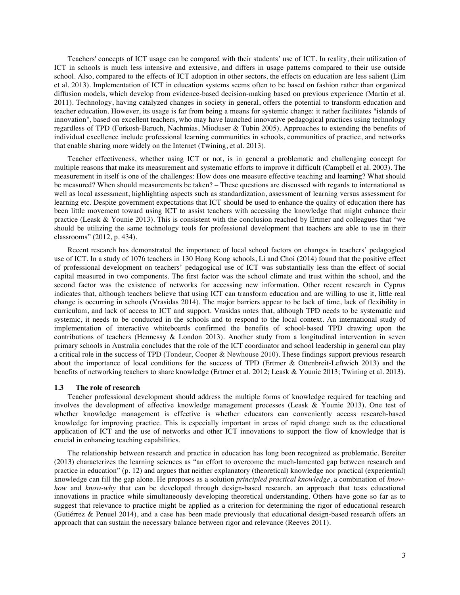Teachers' concepts of ICT usage can be compared with their students' use of ICT. In reality, their utilization of ICT in schools is much less intensive and extensive, and differs in usage patterns compared to their use outside school. Also, compared to the effects of ICT adoption in other sectors, the effects on education are less salient (Lim et al. 2013). Implementation of ICT in education systems seems often to be based on fashion rather than organized diffusion models, which develop from evidence-based decision-making based on previous experience (Martin et al. 2011). Technology, having catalyzed changes in society in general, offers the potential to transform education and teacher education. However, its usage is far from being a means for systemic change: it rather facilitates "islands of innovation", based on excellent teachers, who may have launched innovative pedagogical practices using technology regardless of TPD (Forkosh-Baruch, Nachmias, Mioduser & Tubin 2005). Approaches to extending the benefits of individual excellence include professional learning communities in schools, communities of practice, and networks that enable sharing more widely on the Internet (Twining, et al. 2013).

Teacher effectiveness, whether using ICT or not, is in general a problematic and challenging concept for multiple reasons that make its measurement and systematic efforts to improve it difficult (Campbell et al. 2003). The measurement in itself is one of the challenges: How does one measure effective teaching and learning? What should be measured? When should measurements be taken? – These questions are discussed with regards to international as well as local assessment, highlighting aspects such as standardization, assessment of learning versus assessment for learning etc. Despite government expectations that ICT should be used to enhance the quality of education there has been little movement toward using ICT to assist teachers with accessing the knowledge that might enhance their practice (Leask & Younie 2013). This is consistent with the conclusion reached by Ertmer and colleagues that "we should be utilizing the same technology tools for professional development that teachers are able to use in their classrooms" (2012, p. 434).

Recent research has demonstrated the importance of local school factors on changes in teachers' pedagogical use of ICT. In a study of 1076 teachers in 130 Hong Kong schools, Li and Choi (2014) found that the positive effect of professional development on teachers' pedagogical use of ICT was substantially less than the effect of social capital measured in two components. The first factor was the school climate and trust within the school, and the second factor was the existence of networks for accessing new information. Other recent research in Cyprus indicates that, although teachers believe that using ICT can transform education and are willing to use it, little real change is occurring in schools (Vrasidas 2014). The major barriers appear to be lack of time, lack of flexibility in curriculum, and lack of access to ICT and support. Vrasidas notes that, although TPD needs to be systematic and systemic, it needs to be conducted in the schools and to respond to the local context. An international study of implementation of interactive whiteboards confirmed the benefits of school-based TPD drawing upon the contributions of teachers (Hennessy & London 2013). Another study from a longitudinal intervention in seven primary schools in Australia concludes that the role of the ICT coordinator and school leadership in general can play a critical role in the success of TPD (Tondeur, Cooper & Newhouse 2010). These findings support previous research about the importance of local conditions for the success of TPD (Ertmer & Ottenbreit-Leftwich 2013) and the benefits of networking teachers to share knowledge (Ertmer et al. 2012; Leask & Younie 2013; Twining et al. 2013).

#### **1.3 The role of research**

Teacher professional development should address the multiple forms of knowledge required for teaching and involves the development of effective knowledge management processes (Leask & Younie 2013). One test of whether knowledge management is effective is whether educators can conveniently access research-based knowledge for improving practice. This is especially important in areas of rapid change such as the educational application of ICT and the use of networks and other ICT innovations to support the flow of knowledge that is crucial in enhancing teaching capabilities.

The relationship between research and practice in education has long been recognized as problematic. Bereiter (2013) characterizes the learning sciences as "an effort to overcome the much-lamented gap between research and practice in education" (p. 12) and argues that neither explanatory (theoretical) knowledge nor practical (experiential) knowledge can fill the gap alone. He proposes as a solution *principled practical knowledge*, a combination of *knowhow* and *know-why* that can be developed through design-based research, an approach that tests educational innovations in practice while simultaneously developing theoretical understanding. Others have gone so far as to suggest that relevance to practice might be applied as a criterion for determining the rigor of educational research (Gutiérrez & Penuel 2014), and a case has been made previously that educational design-based research offers an approach that can sustain the necessary balance between rigor and relevance (Reeves 2011).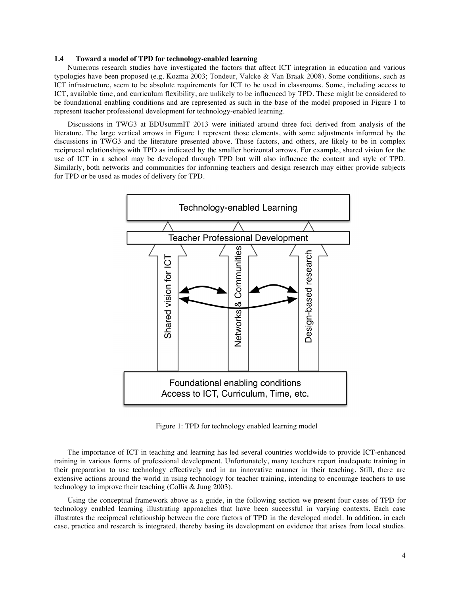### **1.4 Toward a model of TPD for technology-enabled learning**

Numerous research studies have investigated the factors that affect ICT integration in education and various typologies have been proposed (e.g. Kozma 2003; Tondeur, Valcke & Van Braak 2008). Some conditions, such as ICT infrastructure, seem to be absolute requirements for ICT to be used in classrooms. Some, including access to ICT, available time, and curriculum flexibility, are unlikely to be influenced by TPD. These might be considered to be foundational enabling conditions and are represented as such in the base of the model proposed in Figure 1 to represent teacher professional development for technology-enabled learning.

Discussions in TWG3 at EDUsummIT 2013 were initiated around three foci derived from analysis of the literature. The large vertical arrows in Figure 1 represent those elements, with some adjustments informed by the discussions in TWG3 and the literature presented above. Those factors, and others, are likely to be in complex reciprocal relationships with TPD as indicated by the smaller horizontal arrows. For example, shared vision for the use of ICT in a school may be developed through TPD but will also influence the content and style of TPD. Similarly, both networks and communities for informing teachers and design research may either provide subjects for TPD or be used as modes of delivery for TPD.



Figure 1: TPD for technology enabled learning model

The importance of ICT in teaching and learning has led several countries worldwide to provide ICT-enhanced training in various forms of professional development. Unfortunately, many teachers report inadequate training in their preparation to use technology effectively and in an innovative manner in their teaching. Still, there are extensive actions around the world in using technology for teacher training, intending to encourage teachers to use technology to improve their teaching (Collis & Jung 2003).

Using the conceptual framework above as a guide, in the following section we present four cases of TPD for technology enabled learning illustrating approaches that have been successful in varying contexts. Each case illustrates the reciprocal relationship between the core factors of TPD in the developed model. In addition, in each case, practice and research is integrated, thereby basing its development on evidence that arises from local studies.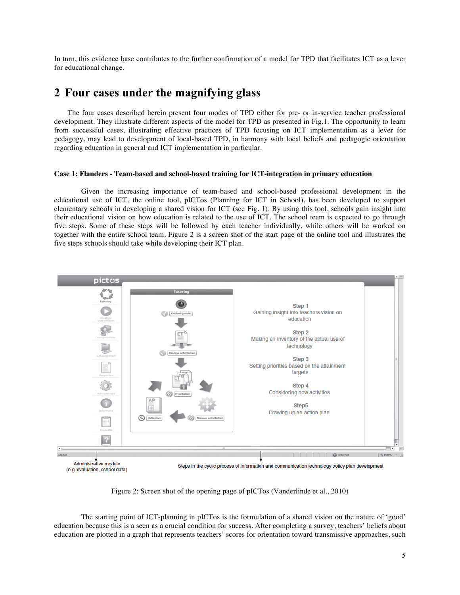In turn, this evidence base contributes to the further confirmation of a model for TPD that facilitates ICT as a lever for educational change.

## **2 Four cases under the magnifying glass**

The four cases described herein present four modes of TPD either for pre- or in-service teacher professional development. They illustrate different aspects of the model for TPD as presented in Fig.1. The opportunity to learn from successful cases, illustrating effective practices of TPD focusing on ICT implementation as a lever for pedagogy, may lead to development of local-based TPD, in harmony with local beliefs and pedagogic orientation regarding education in general and ICT implementation in particular.

### **Case 1: Flanders - Team-based and school-based training for ICT-integration in primary education**

Given the increasing importance of team-based and school-based professional development in the educational use of ICT, the online tool, pICTos (Planning for ICT in School), has been developed to support elementary schools in developing a shared vision for ICT (see Fig. 1). By using this tool, schools gain insight into their educational vision on how education is related to the use of ICT. The school team is expected to go through five steps. Some of these steps will be followed by each teacher individually, while others will be worked on together with the entire school team. Figure 2 is a screen shot of the start page of the online tool and illustrates the five steps schools should take while developing their ICT plan.



Figure 2: Screen shot of the opening page of pICTos (Vanderlinde et al., 2010)

The starting point of ICT-planning in pICTos is the formulation of a shared vision on the nature of 'good' education because this is a seen as a crucial condition for success. After completing a survey, teachers' beliefs about education are plotted in a graph that represents teachers' scores for orientation toward transmissive approaches, such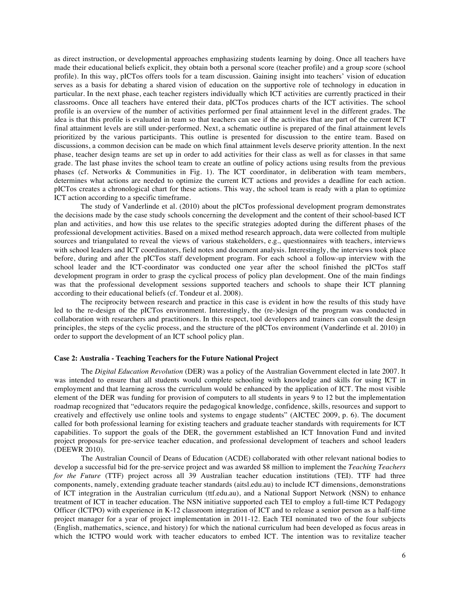as direct instruction, or developmental approaches emphasizing students learning by doing. Once all teachers have made their educational beliefs explicit, they obtain both a personal score (teacher profile) and a group score (school profile). In this way, pICTos offers tools for a team discussion. Gaining insight into teachers' vision of education serves as a basis for debating a shared vision of education on the supportive role of technology in education in particular. In the next phase, each teacher registers individually which ICT activities are currently practiced in their classrooms. Once all teachers have entered their data, pICTos produces charts of the ICT activities. The school profile is an overview of the number of activities performed per final attainment level in the different grades. The idea is that this profile is evaluated in team so that teachers can see if the activities that are part of the current ICT final attainment levels are still under-performed. Next, a schematic outline is prepared of the final attainment levels prioritized by the various participants. This outline is presented for discussion to the entire team. Based on discussions, a common decision can be made on which final attainment levels deserve priority attention. In the next phase, teacher design teams are set up in order to add activities for their class as well as for classes in that same grade. The last phase invites the school team to create an outline of policy actions using results from the previous phases (cf. Networks & Communities in Fig. 1). The ICT coordinator, in deliberation with team members, determines what actions are needed to optimize the current ICT actions and provides a deadline for each action. pICTos creates a chronological chart for these actions. This way, the school team is ready with a plan to optimize ICT action according to a specific timeframe.

The study of Vanderlinde et al. (2010) about the pICTos professional development program demonstrates the decisions made by the case study schools concerning the development and the content of their school-based ICT plan and activities, and how this use relates to the specific strategies adopted during the different phases of the professional development activities. Based on a mixed method research approach, data were collected from multiple sources and triangulated to reveal the views of various stakeholders, e.g., questionnaires with teachers, interviews with school leaders and ICT coordinators, field notes and document analysis. Interestingly, the interviews took place before, during and after the pICTos staff development program. For each school a follow-up interview with the school leader and the ICT-coordinator was conducted one year after the school finished the pICTos staff development program in order to grasp the cyclical process of policy plan development. One of the main findings was that the professional development sessions supported teachers and schools to shape their ICT planning according to their educational beliefs (cf. Tondeur et al. 2008).

The reciprocity between research and practice in this case is evident in how the results of this study have led to the re-design of the pICTos environment. Interestingly, the (re-)design of the program was conducted in collaboration with researchers and practitioners. In this respect, tool developers and trainers can consult the design principles, the steps of the cyclic process, and the structure of the pICTos environment (Vanderlinde et al. 2010) in order to support the development of an ICT school policy plan.

### **Case 2: Australia - Teaching Teachers for the Future National Project**

The *Digital Education Revolution* (DER) was a policy of the Australian Government elected in late 2007. It was intended to ensure that all students would complete schooling with knowledge and skills for using ICT in employment and that learning across the curriculum would be enhanced by the application of ICT. The most visible element of the DER was funding for provision of computers to all students in years 9 to 12 but the implementation roadmap recognized that "educators require the pedagogical knowledge, confidence, skills, resources and support to creatively and effectively use online tools and systems to engage students" (AICTEC 2009, p. 6). The document called for both professional learning for existing teachers and graduate teacher standards with requirements for ICT capabilities. To support the goals of the DER, the government established an ICT Innovation Fund and invited project proposals for pre-service teacher education, and professional development of teachers and school leaders (DEEWR 2010).

The Australian Council of Deans of Education (ACDE) collaborated with other relevant national bodies to develop a successful bid for the pre-service project and was awarded \$8 million to implement the *Teaching Teachers for the Future* (TTF) project across all 39 Australian teacher education institutions (TEI). TTF had three components, namely, extending graduate teacher standards (aitsl.edu.au) to include ICT dimensions, demonstrations of ICT integration in the Australian curriculum (ttf.edu.au), and a National Support Network (NSN) to enhance treatment of ICT in teacher education. The NSN initiative supported each TEI to employ a full-time ICT Pedagogy Officer (ICTPO) with experience in K-12 classroom integration of ICT and to release a senior person as a half-time project manager for a year of project implementation in 2011-12. Each TEI nominated two of the four subjects (English, mathematics, science, and history) for which the national curriculum had been developed as focus areas in which the ICTPO would work with teacher educators to embed ICT. The intention was to revitalize teacher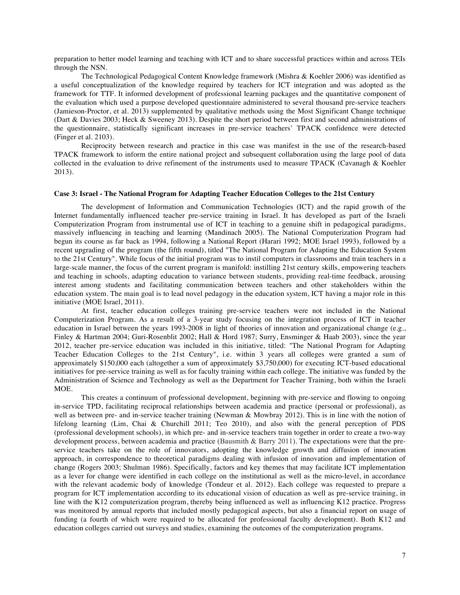preparation to better model learning and teaching with ICT and to share successful practices within and across TEIs through the NSN.

The Technological Pedagogical Content Knowledge framework (Mishra & Koehler 2006) was identified as a useful conceptualization of the knowledge required by teachers for ICT integration and was adopted as the framework for TTF. It informed development of professional learning packages and the quantitative component of the evaluation which used a purpose developed questionnaire administered to several thousand pre-service teachers (Jamieson-Proctor, et al. 2013) supplemented by qualitative methods using the Most Significant Change technique (Dart & Davies 2003; Heck & Sweeney 2013). Despite the short period between first and second administrations of the questionnaire, statistically significant increases in pre-service teachers' TPACK confidence were detected (Finger et al. 2103).

Reciprocity between research and practice in this case was manifest in the use of the research-based TPACK framework to inform the entire national project and subsequent collaboration using the large pool of data collected in the evaluation to drive refinement of the instruments used to measure TPACK (Cavanagh & Koehler 2013).

### **Case 3: Israel - The National Program for Adapting Teacher Education Colleges to the 21st Century**

The development of Information and Communication Technologies (ICT) and the rapid growth of the Internet fundamentally influenced teacher pre-service training in Israel. It has developed as part of the Israeli Computerization Program from instrumental use of ICT in teaching to a genuine shift in pedagogical paradigms, massively influencing in teaching and learning (Mandinach 2005). The National Computerization Program had begun its course as far back as 1994, following a National Report (Harari 1992; MOE Israel 1993), followed by a recent upgrading of the program (the fifth round), titled "The National Program for Adapting the Education System to the 21st Century". While focus of the initial program was to instil computers in classrooms and train teachers in a large-scale manner, the focus of the current program is manifold: instilling 21st century skills, empowering teachers and teaching in schools, adapting education to variance between students, providing real-time feedback, arousing interest among students and facilitating communication between teachers and other stakeholders within the education system. The main goal is to lead novel pedagogy in the education system, ICT having a major role in this initiative (MOE Israel, 2011).

At first, teacher education colleges training pre-service teachers were not included in the National Computerization Program. As a result of a 3-year study focusing on the integration process of ICT in teacher education in Israel between the years 1993-2008 in light of theories of innovation and organizational change (e.g., Finley & Hartman 2004; Guri-Rosenblit 2002; Hall & Hord 1987; Surry, Ensminger & Haab 2003), since the year 2012, teacher pre-service education was included in this initiative, titled: "The National Program for Adapting Teacher Education Colleges to the 21st Century", i.e. within 3 years all colleges were granted a sum of approximately \$150,000 each (altogether a sum of approximately \$3,750,000) for executing ICT-based educational initiatives for pre-service training as well as for faculty training within each college. The initiative was funded by the Administration of Science and Technology as well as the Department for Teacher Training, both within the Israeli MOE.

This creates a continuum of professional development, beginning with pre-service and flowing to ongoing in-service TPD, facilitating reciprocal relationships between academia and practice (personal or professional), as well as between pre- and in-service teacher training (Newman & Mowbray 2012). This is in line with the notion of lifelong learning (Lim, Chai & Churchill 2011; Teo 2010), and also with the general perception of PDS (professional development schools), in which pre- and in-service teachers train together in order to create a two-way development process, between academia and practice (Bausmith & Barry 2011). The expectations were that the preservice teachers take on the role of innovators, adopting the knowledge growth and diffusion of innovation approach, in correspondence to theoretical paradigms dealing with infusion of innovation and implementation of change (Rogers 2003; Shulman 1986). Specifically, factors and key themes that may facilitate ICT implementation as a lever for change were identified in each college on the institutional as well as the micro-level, in accordance with the relevant academic body of knowledge (Tondeur et al. 2012). Each college was requested to prepare a program for ICT implementation according to its educational vision of education as well as pre-service training, in line with the K12 computerization program, thereby being influenced as well as influencing K12 practice. Progress was monitored by annual reports that included mostly pedagogical aspects, but also a financial report on usage of funding (a fourth of which were required to be allocated for professional faculty development). Both K12 and education colleges carried out surveys and studies, examining the outcomes of the computerization programs.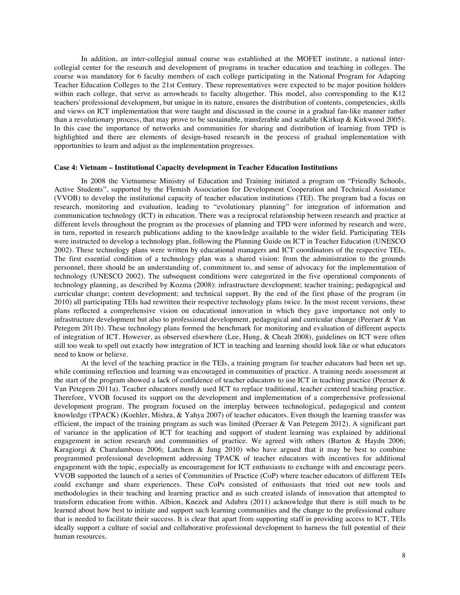In addition, an inter-collegial annual course was established at the MOFET institute, a national intercollegial center for the research and development of programs in teacher education and teaching in colleges. The course was mandatory for 6 faculty members of each college participating in the National Program for Adapting Teacher Education Colleges to the 21st Century. These representatives were expected to be major position holders within each college, that serve as arrowheads to faculty altogether. This model, also corresponding to the K12 teachers' professional development, but unique in its nature, ensures the distribution of contents, competencies, skills and views on ICT implementation that were taught and discussed in the course in a gradual fan-like manner rather than a revolutionary process, that may prove to be sustainable, transferable and scalable (Kirkup & Kirkwood 2005). In this case the importance of networks and communities for sharing and distribution of learning from TPD is highlighted and there are elements of design-based research in the process of gradual implementation with opportunities to learn and adjust as the implementation progresses.

#### **Case 4: Vietnam – Institutional Capacity development in Teacher Education Institutions**

In 2008 the Vietnamese Ministry of Education and Training initiated a program on "Friendly Schools, Active Students", supported by the Flemish Association for Development Cooperation and Technical Assistance (VVOB) to develop the institutional capacity of teacher education institutions (TEI). The program had a focus on research, monitoring and evaluation, leading to "evolutionary planning" for integration of information and communication technology (ICT) in education. There was a reciprocal relationship between research and practice at different levels throughout the program as the processes of planning and TPD were informed by research and were, in turn, reported in research publications adding to the knowledge available to the wider field. Participating TEIs were instructed to develop a technology plan, following the Planning Guide on ICT in Teacher Education (UNESCO 2002). These technology plans were written by educational managers and ICT coordinators of the respective TEIs. The first essential condition of a technology plan was a shared vision: from the administration to the grounds personnel, there should be an understanding of, commitment to, and sense of advocacy for the implementation of technology (UNESCO 2002). The subsequent conditions were categorized in the five operational components of technology planning, as described by Kozma (2008): infrastructure development; teacher training; pedagogical and curricular change; content development; and technical support. By the end of the first phase of the program (in 2010) all participating TEIs had rewritten their respective technology plans twice. In the most recent versions, these plans reflected a comprehensive vision on educational innovation in which they gave importance not only to infrastructure development but also to professional development, pedagogical and curricular change (Peeraer & Van Petegem 2011b). These technology plans formed the benchmark for monitoring and evaluation of different aspects of integration of ICT. However, as observed elsewhere (Lee, Hung, & Cheah 2008), guidelines on ICT were often still too weak to spell out exactly how integration of ICT in teaching and learning should look like or what educators need to know or believe.

At the level of the teaching practice in the TEIs, a training program for teacher educators had been set up, while continuing reflection and learning was encouraged in communities of practice. A training needs assessment at the start of the program showed a lack of confidence of teacher educators to use ICT in teaching practice (Peeraer & Van Petegem 2011a). Teacher educators mostly used ICT to replace traditional, teacher centered teaching practice. Therefore, VVOB focused its support on the development and implementation of a comprehensive professional development program. The program focused on the interplay between technological, pedagogical and content knowledge (TPACK) (Koehler, Mishra, & Yahya 2007) of teacher educators. Even though the learning transfer was efficient, the impact of the training program as such was limited (Peeraer & Van Petegem 2012). A significant part of variance in the application of ICT for teaching and support of student learning was explained by additional engagement in action research and communities of practice. We agreed with others (Barton & Haydn 2006; Karagiorgi & Charalambous 2006; Latchem & Jung 2010) who have argued that it may be best to combine programmed professional development addressing TPACK of teacher educators with incentives for additional engagement with the topic, especially as encouragement for ICT enthusiasts to exchange with and encourage peers. VVOB supported the launch of a series of Communities of Practice (CoP) where teacher educators of different TEIs could exchange and share experiences. These CoPs consisted of enthusiasts that tried out new tools and methodologies in their teaching and learning practice and as such created islands of innovation that attempted to transform education from within. Albion, Knezek and Adubra (2011) acknowledge that there is still much to be learned about how best to initiate and support such learning communities and the change to the professional culture that is needed to facilitate their success. It is clear that apart from supporting staff in providing access to ICT, TEIs ideally support a culture of social and collaborative professional development to harness the full potential of their human resources.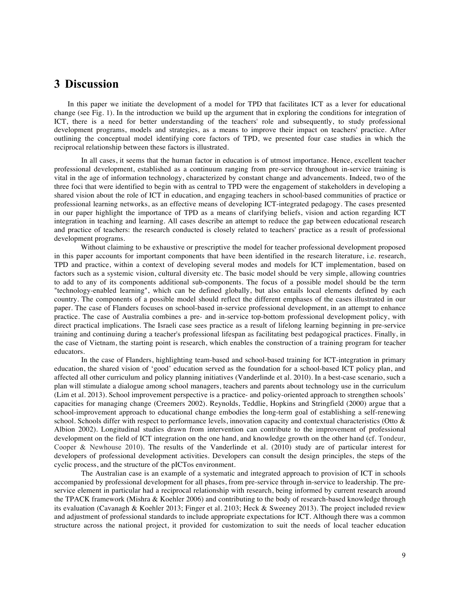## **3 Discussion**

In this paper we initiate the development of a model for TPD that facilitates ICT as a lever for educational change (see Fig. 1). In the introduction we build up the argument that in exploring the conditions for integration of ICT, there is a need for better understanding of the teachers' role and subsequently, to study professional development programs, models and strategies, as a means to improve their impact on teachers' practice. After outlining the conceptual model identifying core factors of TPD, we presented four case studies in which the reciprocal relationship between these factors is illustrated.

In all cases, it seems that the human factor in education is of utmost importance. Hence, excellent teacher professional development, established as a continuum ranging from pre-service throughout in-service training is vital in the age of information technology, characterized by constant change and advancements. Indeed, two of the three foci that were identified to begin with as central to TPD were the engagement of stakeholders in developing a shared vision about the role of ICT in education, and engaging teachers in school-based communities of practice or professional learning networks, as an effective means of developing ICT-integrated pedagogy. The cases presented in our paper highlight the importance of TPD as a means of clarifying beliefs, vision and action regarding ICT integration in teaching and learning. All cases describe an attempt to reduce the gap between educational research and practice of teachers: the research conducted is closely related to teachers' practice as a result of professional development programs.

Without claiming to be exhaustive or prescriptive the model for teacher professional development proposed in this paper accounts for important components that have been identified in the research literature, i.e. research, TPD and practice, within a context of developing several modes and models for ICT implementation, based on factors such as a systemic vision, cultural diversity etc. The basic model should be very simple, allowing countries to add to any of its components additional sub-components. The focus of a possible model should be the term "technology-enabled learning", which can be defined globally, but also entails local elements defined by each country. The components of a possible model should reflect the different emphases of the cases illustrated in our paper. The case of Flanders focuses on school-based in-service professional development, in an attempt to enhance practice. The case of Australia combines a pre- and in-service top-bottom professional development policy, with direct practical implications. The Israeli case sees practice as a result of lifelong learning beginning in pre-service training and continuing during a teacher's professional lifespan as facilitating best pedagogical practices. Finally, in the case of Vietnam, the starting point is research, which enables the construction of a training program for teacher educators.

In the case of Flanders, highlighting team-based and school-based training for ICT-integration in primary education, the shared vision of 'good' education served as the foundation for a school-based ICT policy plan, and affected all other curriculum and policy planning initiatives (Vanderlinde et al. 2010). In a best-case scenario, such a plan will stimulate a dialogue among school managers, teachers and parents about technology use in the curriculum (Lim et al. 2013). School improvement perspective is a practice- and policy-oriented approach to strengthen schools' capacities for managing change (Creemers 2002). Reynolds, Teddlie, Hopkins and Stringfield (2000) argue that a school-improvement approach to educational change embodies the long-term goal of establishing a self-renewing school. Schools differ with respect to performance levels, innovation capacity and contextual characteristics (Otto & Albion 2002). Longitudinal studies drawn from intervention can contribute to the improvement of professional development on the field of ICT integration on the one hand, and knowledge growth on the other hand (cf. Tondeur, Cooper & Newhouse 2010). The results of the Vanderlinde et al. (2010) study are of particular interest for developers of professional development activities. Developers can consult the design principles, the steps of the cyclic process, and the structure of the pICTos environment.

The Australian case is an example of a systematic and integrated approach to provision of ICT in schools accompanied by professional development for all phases, from pre-service through in-service to leadership. The preservice element in particular had a reciprocal relationship with research, being informed by current research around the TPACK framework (Mishra & Koehler 2006) and contributing to the body of research-based knowledge through its evaluation (Cavanagh & Koehler 2013; Finger et al. 2103; Heck & Sweeney 2013). The project included review and adjustment of professional standards to include appropriate expectations for ICT. Although there was a common structure across the national project, it provided for customization to suit the needs of local teacher education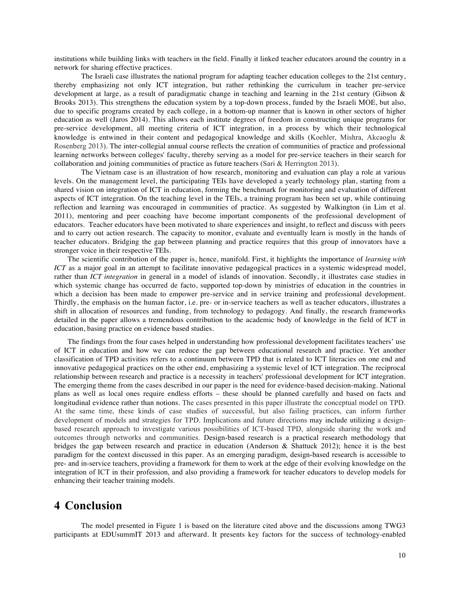institutions while building links with teachers in the field. Finally it linked teacher educators around the country in a network for sharing effective practices.

The Israeli case illustrates the national program for adapting teacher education colleges to the 21st century, thereby emphasizing not only ICT integration, but rather rethinking the curriculum in teacher pre-service development at large, as a result of paradigmatic change in teaching and learning in the 21st century (Gibson & Brooks 2013). This strengthens the education system by a top-down process, funded by the Israeli MOE, but also, due to specific programs created by each college, in a bottom-up manner that is known in other sectors of higher education as well (Jaros 2014). This allows each institute degrees of freedom in constructing unique programs for pre-service development, all meeting criteria of ICT integration, in a process by which their technological knowledge is entwined in their content and pedagogical knowledge and skills (Koehler, Mishra, Akcaoglu & Rosenberg 2013). The inter-collegial annual course reflects the creation of communities of practice and professional learning networks between colleges' faculty, thereby serving as a model for pre-service teachers in their search for collaboration and joining communities of practice as future teachers (Sari & Herrington 2013).

The Vietnam case is an illustration of how research, monitoring and evaluation can play a role at various levels. On the management level, the participating TEIs have developed a yearly technology plan, starting from a shared vision on integration of ICT in education, forming the benchmark for monitoring and evaluation of different aspects of ICT integration. On the teaching level in the TEIs, a training program has been set up, while continuing reflection and learning was encouraged in communities of practice. As suggested by Walkington (in Lim et al. 2011), mentoring and peer coaching have become important components of the professional development of educators. Teacher educators have been motivated to share experiences and insight, to reflect and discuss with peers and to carry out action research. The capacity to monitor, evaluate and eventually learn is mostly in the hands of teacher educators. Bridging the gap between planning and practice requires that this group of innovators have a stronger voice in their respective TEIs.

The scientific contribution of the paper is, hence, manifold. First, it highlights the importance of *learning with ICT* as a major goal in an attempt to facilitate innovative pedagogical practices in a systemic widespread model, rather than *ICT integration* in general in a model of islands of innovation. Secondly, it illustrates case studies in which systemic change has occurred de facto, supported top-down by ministries of education in the countries in which a decision has been made to empower pre-service and in service training and professional development. Thirdly, the emphasis on the human factor, i.e. pre- or in-service teachers as well as teacher educators, illustrates a shift in allocation of resources and funding, from technology to pedagogy. And finally, the research frameworks detailed in the paper allows a tremendous contribution to the academic body of knowledge in the field of ICT in education, basing practice on evidence based studies.

The findings from the four cases helped in understanding how professional development facilitates teachers' use of ICT in education and how we can reduce the gap between educational research and practice. Yet another classification of TPD activities refers to a continuum between TPD that is related to ICT literacies on one end and innovative pedagogical practices on the other end, emphasizing a systemic level of ICT integration. The reciprocal relationship between research and practice is a necessity in teachers' professional development for ICT integration. The emerging theme from the cases described in our paper is the need for evidence-based decision-making. National plans as well as local ones require endless efforts – these should be planned carefully and based on facts and longitudinal evidence rather than notions. The cases presented in this paper illustrate the conceptual model on TPD. At the same time, these kinds of case studies of successful, but also failing practices, can inform further development of models and strategies for TPD. Implications and future directions may include utilizing a designbased research approach to investigate various possibilities of ICT-based TPD, alongside sharing the work and outcomes through networks and communities. Design-based research is a practical research methodology that bridges the gap between research and practice in education (Anderson & Shattuck 2012); hence it is the best paradigm for the context discussed in this paper. As an emerging paradigm, design-based research is accessible to pre- and in-service teachers, providing a framework for them to work at the edge of their evolving knowledge on the integration of ICT in their profession, and also providing a framework for teacher educators to develop models for enhancing their teacher training models.

# **4 Conclusion**

The model presented in Figure 1 is based on the literature cited above and the discussions among TWG3 participants at EDUsummIT 2013 and afterward. It presents key factors for the success of technology-enabled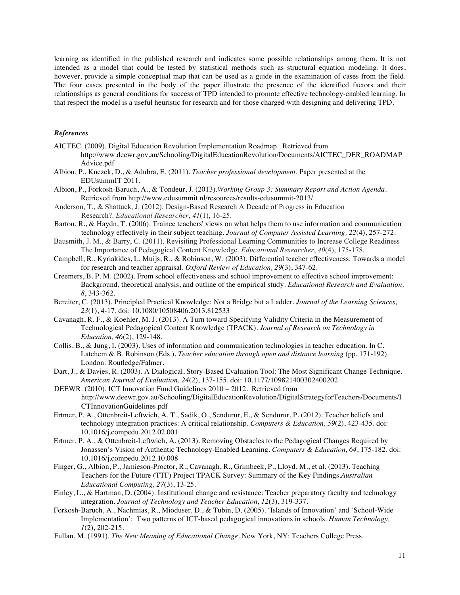learning as identified in the published research and indicates some possible relationships among them. It is not intended as a model that could be tested by statistical methods such as structural equation modeling. It does, however, provide a simple conceptual map that can be used as a guide in the examination of cases from the field. The four cases presented in the body of the paper illustrate the presence of the identified factors and their relationships as general conditions for success of TPD intended to promote effective technology-enabled learning. In that respect the model is a useful heuristic for research and for those charged with designing and delivering TPD.

### *References*

- AICTEC. (2009). Digital Education Revolution Implementation Roadmap. Retrieved from http://www.deewr.gov.au/Schooling/DigitalEducationRevolution/Documents/AICTEC\_DER\_ROADMAP Advice.pdf
- Albion, P., Knezek, D., & Adubra, E. (2011). *Teacher professional development*. Paper presented at the EDUsummIT 2011.
- Albion, P., Forkosh-Baruch, A., & Tondeur, J. (2013).*Working Group 3: Summary Report and Action Agenda*. Retrieved from http://www.edusummit.nl/resources/results-edusummit-2013/
- Anderson, T., & Shattuck, J. (2012). Design-Based Research A Decade of Progress in Education Research?. *Educational Researcher*, *41*(1), 16-25.
- Barton, R., & Haydn, T. (2006). Trainee teachers' views on what helps them to use information and communication technology effectively in their subject teaching. *Journal of Computer Assisted Learning, 22*(4), 257-272.
- Bausmith, J. M., & Barry, C. (2011). Revisiting Professional Learning Communities to Increase College Readiness The Importance of Pedagogical Content Knowledge. *Educational Researcher*, *40*(4), 175-178.
- Campbell, R., Kyriakides, L, Muijs, R., & Robinson, W. (2003). Differential teacher effectiveness: Towards a model for research and teacher appraisal. *Oxford Review of Education, 29*(3), 347-62.
- Creemers, B. P. M. (2002). From school effectiveness and school improvement to effective school improvement: Background, theoretical analysis, and outline of the empirical study. *Educational Research and Evaluation, 8*, 343-362.
- Bereiter, C. (2013). Principled Practical Knowledge: Not a Bridge but a Ladder. *Journal of the Learning Sciences, 23*(1), 4-17. doi: 10.1080/10508406.2013.812533
- Cavanagh, R. F., & Koehler, M. J. (2013). A Turn toward Specifying Validity Criteria in the Measurement of Technological Pedagogical Content Knowledge (TPACK). *Journal of Research on Technology in Education, 46*(2), 129-148.
- Collis, B., & Jung, I. (2003). Uses of information and communication technologies in teacher education. In C. Latchem & B. Robinson (Eds.), *Teacher education through open and distance learning* (pp. 171-192). London: Routledge/Falmer.
- Dart, J., & Davies, R. (2003). A Dialogical, Story-Based Evaluation Tool: The Most Significant Change Technique. *American Journal of Evaluation, 24*(2), 137-155. doi: 10.1177/109821400302400202
- DEEWR. (2010). ICT Innovation Fund Guidelines 2010 2012. Retrieved from http://www.deewr.gov.au/Schooling/DigitalEducationRevolution/DigitalStrategyforTeachers/Documents/I CTInnovationGuidelines.pdf
- Ertmer, P. A., Ottenbreit-Leftwich, A. T., Sadik, O., Sendurur, E., & Sendurur, P. (2012). Teacher beliefs and technology integration practices: A critical relationship. *Computers & Education, 59*(2), 423-435. doi: 10.1016/j.compedu.2012.02.001
- Ertmer, P. A., & Ottenbreit-Leftwich, A. (2013). Removing Obstacles to the Pedagogical Changes Required by Jonassen's Vision of Authentic Technology-Enabled Learning. *Computers & Education, 64*, 175-182. doi: 10.1016/j.compedu.2012.10.008
- Finger, G., Albion, P., Jamieson-Proctor, R., Cavanagh, R., Grimbeek, P., Lloyd, M., et al. (2013). Teaching Teachers for the Future (TTF) Project TPACK Survey: Summary of the Key Findings.*Australian Educational Computing, 27*(3), 13-25.
- Finley, L., & Hartman, D. (2004). Institutional change and resistance: Teacher preparatory faculty and technology integration. *Journal of Technology and Teacher Education, 12*(3), 319-337.
- Forkosh-Baruch, A., Nachmias, R., Mioduser, D., & Tubin, D. (2005). 'Islands of Innovation' and 'School-Wide Implementation': Two patterns of ICT-based pedagogical innovations in schools*. Human Technology, 1*(2), 202-215.
- Fullan, M. (1991). *The New Meaning of Educational Change*. New York, NY: Teachers College Press.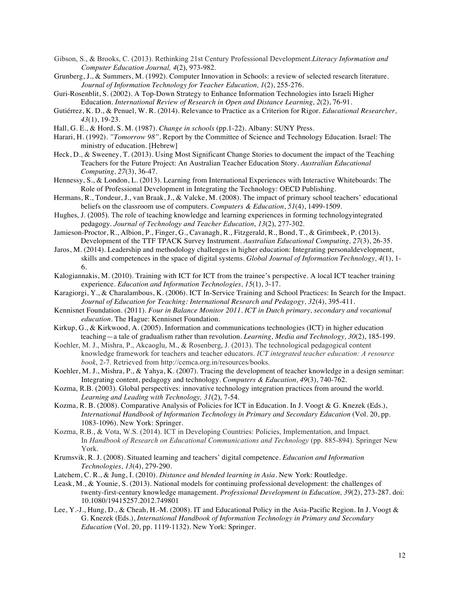- Gibson, S., & Brooks, C. (2013). Rethinking 21st Century Professional Development.*Literacy Information and Computer Education Journal, 4*(2), 973-982.
- Grunberg, J., & Summers, M. (1992). Computer Innovation in Schools: a review of selected research literature. *Journal of Information Technology for Teacher Education, 1*(2), 255-276.
- Guri-Rosenblit, S. (2002). A Top-Down Strategy to Enhance Information Technologies into Israeli Higher Education. *International Review of Research in Open and Distance Learning, 2*(2), 76-91.
- Gutiérrez, K. D., & Penuel, W. R. (2014). Relevance to Practice as a Criterion for Rigor. *Educational Researcher, 43*(1), 19-23.
- Hall, G. E., & Hord, S. M. (1987). *Change in schools* (pp.1-22). Albany: SUNY Press.
- Harari, H. (1992). *"Tomorrow 98"*. Report by the Committee of Science and Technology Education. Israel: The ministry of education. [Hebrew]
- Heck, D., & Sweeney, T. (2013). Using Most Significant Change Stories to document the impact of the Teaching Teachers for the Future Project: An Australian Teacher Education Story. *Australian Educational Computing, 27*(3), 36-47.
- Hennessy, S., & London, L. (2013). Learning from International Experiences with Interactive Whiteboards: The Role of Professional Development in Integrating the Technology: OECD Publishing.
- Hermans, R., Tondeur, J., van Braak, J., & Valcke, M. (2008). The impact of primary school teachers' educational beliefs on the classroom use of computers. *Computers & Education*, *51*(4), 1499-1509.
- Hughes, J. (2005). The role of teaching knowledge and learning experiences in forming technologyintegrated pedagogy. *Journal of Technology and Teacher Education*, *13*(2), 277-302.
- Jamieson-Proctor, R., Albion, P., Finger, G., Cavanagh, R., Fitzgerald, R., Bond, T., & Grimbeek, P. (2013). Development of the TTF TPACK Survey Instrument. *Australian Educational Computing, 27*(3), 26-35.
- Jaros, M. (2014). Leadership and methodology challenges in higher education: Integrating personaldevelopment, skills and competences in the space of digital systems. *Global Journal of Information Technology, 4*(1), 1- 6.
- Kalogiannakis, M. (2010). Training with ICT for ICT from the trainee's perspective. A local ICT teacher training experience. *Education and Information Technologies, 15*(1), 3-17.
- Karagiorgi, Y., & Charalambous, K. (2006). ICT In-Service Training and School Practices: In Search for the Impact. *Journal of Education for Teaching: International Research and Pedagogy, 32*(4), 395-411.
- Kennisnet Foundation. (2011). *Four in Balance Monitor 2011. ICT in Dutch primary, secondary and vocational education*. The Hague: Kennisnet Foundation.
- Kirkup, G., & Kirkwood, A. (2005). Information and communications technologies (ICT) in higher education teaching—a tale of gradualism rather than revolution. *Learning, Media and Technology, 30*(2), 185-199.
- Koehler, M. J., Mishra, P., Akcaoglu, M., & Rosenberg, J. (2013). The technological pedagogical content knowledge framework for teachers and teacher educators. *ICT integrated teacher education: A resource book*, 2-7. Retrieved from http://cemca.org.in/resources/books.
- Koehler, M. J., Mishra, P., & Yahya, K. (2007). Tracing the development of teacher knowledge in a design seminar: Integrating content, pedagogy and technology. *Computers & Education, 49*(3), 740-762.
- Kozma, R.B. (2003). Global perspectives: innovative technology integration practices from around the world. *Learning and Leading with Technology, 31*(2), 7-54.
- Kozma, R. B. (2008). Comparative Analysis of Policies for ICT in Education. In J. Voogt & G. Knezek (Eds.), *International Handbook of Information Technology in Primary and Secondary Education* (Vol. 20, pp. 1083-1096). New York: Springer.
- Kozma, R.B., & Vota, W.S. (2014). ICT in Developing Countries: Policies, Implementation, and Impact. In *Handbook of Research on Educational Communications and Technology* (pp. 885-894). Springer New York.
- Krumsvik, R. J. (2008). Situated learning and teachers' digital competence. *Education and Information Technologies, 13*(4), 279-290.
- Latchem, C. R., & Jung, I. (2010). *Distance and blended learning in Asia*. New York: Routledge.
- Leask, M., & Younie, S. (2013). National models for continuing professional development: the challenges of twenty-first-century knowledge management. *Professional Development in Education, 39*(2), 273-287. doi: 10.1080/19415257.2012.749801
- Lee, Y.-J., Hung, D., & Cheah, H.-M. (2008). IT and Educational Policy in the Asia-Pacific Region. In J. Voogt & G. Knezek (Eds.), *International Handbook of Information Technology in Primary and Secondary Education* (Vol. 20, pp. 1119-1132). New York: Springer.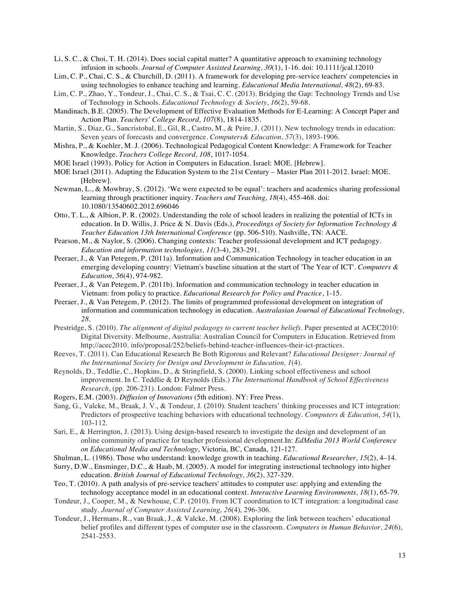- Li, S. C., & Choi, T. H. (2014). Does social capital matter? A quantitative approach to examining technology infusion in schools. *Journal of Computer Assisted Learning, 30*(1), 1-16. doi: 10.1111/jcal.12010
- Lim, C. P., Chai, C. S., & Churchill, D. (2011). A framework for developing pre-service teachers' competencies in using technologies to enhance teaching and learning. *Educational Media International, 48*(2), 69-83.
- Lim, C. P., Zhao, Y., Tondeur, J., Chai, C. S., & Tsai, C. C. (2013). Bridging the Gap: Technology Trends and Use of Technology in Schools. *Educational Technology & Society*, *16*(2), 59-68.
- Mandinach, B.E. (2005). The Development of Effective Evaluation Methods for E-Learning: A Concept Paper and Action Plan. *Teachers' College Record, 107*(8), 1814-1835.
- Martin, S., Diaz, G., Sancristobal, E., Gil, R., Castro, M., & Peire, J. (2011). New technology trends in education: Seven years of forecasts and convergence. *Computers& Education*, *57*(3), 1893-1906.
- Mishra, P., & Koehler, M. J. (2006). Technological Pedagogical Content Knowledge: A Framework for Teacher Knowledge. *Teachers College Record, 108*, 1017-1054.
- MOE Israel (1993). Policy for Action in Computers in Education. Israel: MOE. [Hebrew].
- MOE Israel (2011). Adapting the Education System to the 21st Century Master Plan 2011-2012. Israel: MOE. [Hebrew].
- Newman, L., & Mowbray, S. (2012). 'We were expected to be equal': teachers and academics sharing professional learning through practitioner inquiry. *Teachers and Teaching, 18*(4), 455-468. doi: 10.1080/13540602.2012.696046
- Otto, T. L., & Albion, P. R. (2002). Understanding the role of school leaders in realizing the potential of ICTs in education. In D. Willis, J. Price & N. Davis (Eds.), *Proceedings of Society for Information Technology & Teacher Education 13th International Conference* (pp. 506-510). Nashville, TN: AACE.
- Pearson, M., & Naylor, S. (2006). Changing contexts: Teacher professional development and ICT pedagogy. *Education and information technologies, 11*(3-4), 283-291.
- Peeraer, J., & Van Petegem, P. (2011a). Information and Communication Technology in teacher education in an emerging developing country: Vietnam's baseline situation at the start of 'The Year of ICT'. *Computers & Education, 56*(4), 974-982.
- Peeraer, J., & Van Petegem, P. (2011b). Information and communication technology in teacher education in Vietnam: from policy to practice. *Educational Research for Policy and Practice*, 1-15.
- Peeraer, J., & Van Petegem, P. (2012). The limits of programmed professional development on integration of information and communication technology in education. *Australasian Journal of Educational Technology, 28*.
- Prestridge, S. (2010). *The alignment of digital pedagogy to current teacher beliefs*. Paper presented at ACEC2010: Digital Diversity. Melbourne, Australia: Australian Council for Computers in Education. Retrieved from http://acec2010. info/proposal/252/beliefs-behind-teacher-influences-their-ict-practices.
- Reeves, T. (2011). Can Educational Research Be Both Rigorous and Relevant? *Educational Designer: Journal of the International Society for Design and Development in Education, 1*(4).
- Reynolds, D., Teddlie, C., Hopkins, D., & Stringfield, S. (2000). Linking school effectiveness and school improvement. In C. Teddlie & D Reynolds (Eds.) *The International Handbook of School Effectiveness Research*, (pp. 206-231). London: Falmer Press.
- Rogers, E.M. (2003). *Diffusion of Innovations* (5th edition). NY: Free Press.
- Sang, G., Valcke, M., Braak, J. V., & Tondeur, J. (2010). Student teachers' thinking processes and ICT integration: Predictors of prospective teaching behaviors with educational technology. *Computers & Education*, *54*(1), 103-112.
- Sari, E., & Herrington, J. (2013). Using design-based research to investigate the design and development of an online community of practice for teacher professional development.In: *EdMedia 2013 World Conference on Educational Media and Technology*, Victoria, BC, Canada, 121-127.
- Shulman, L. (1986). Those who understand: knowledge growth in teaching. *Educational Researcher, 15*(2), 4–14.
- Surry, D.W., Ensminger, D.C., & Haab, M. (2005). A model for integrating instructional technology into higher education. *British Journal of Educational Technology, 36*(2), 327-329.
- Teo, T. (2010). A path analysis of pre-service teachers' attitudes to computer use: applying and extending the technology acceptance model in an educational context. *Interactive Learning Environments, 18*(1), 65-79.
- Tondeur, J., Cooper, M., & Newhouse, C.P. (2010). From ICT coordination to ICT integration: a longitudinal case study. *Journal of Computer Assisted Learning*, *26*(4), 296-306.
- Tondeur, J., Hermans, R., van Braak, J., & Valcke, M. (2008). Exploring the link between teachers' educational belief profiles and different types of computer use in the classroom. *Computers in Human Behavior*, *24*(6), 2541-2553.